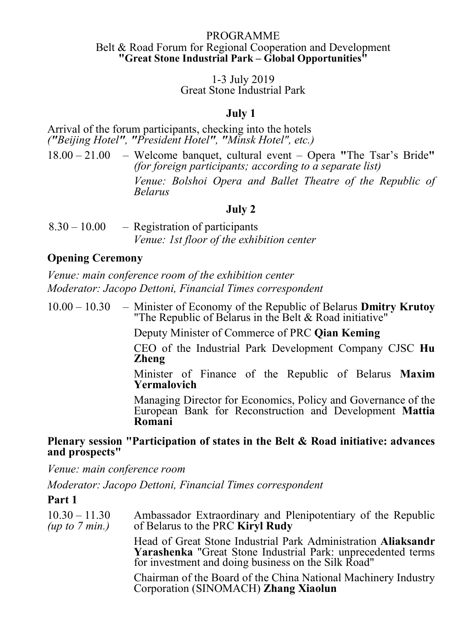#### PROGRAMME Belt & Road Forum for Regional Cooperation and Development "Great Stone Industrial Park – Global Opportunities"

#### 1-3 July 2019 Great Stone Industrial Park

## July 1

Arrival of the forum participants, checking into the hotels ("Beijing Hotel", "President Hotel", "Minsk Hotel", etc.)

18.00 – 21.00 – Welcome banquet, cultural event – Opera "The Tsar's Bride" (for foreign participants; according to a separate list) Venue: Bolshoi Opera and Ballet Theatre of the Republic of Belarus

## July 2

| $8.30 - 10.00$ | - Registration of participants                   |
|----------------|--------------------------------------------------|
|                | <i>Venue: 1st floor of the exhibition center</i> |

## Opening Ceremony

Venue: main conference room of the exhibition center Moderator: Jacopo Dettoni, Financial Times correspondent

 $10.00 - 10.30$  – Minister of Economy of the Republic of Belarus Dmitry Krutoy "The Republic of Belarus in the Belt & Road initiative"

Deputy Minister of Commerce of PRC Qian Keming

CEO of the Industrial Park Development Company CJSC Hu Zheng

Minister of Finance of the Republic of Belarus Maxim Yermalovich

Managing Director for Economics, Policy and Governance of the European Bank for Reconstruction and Development Mattia Romani

## Plenary session "Participation of states in the Belt & Road initiative: advances and prospects"

Venue: main conference room

Moderator: Jacopo Dettoni, Financial Times correspondent

## Part 1

| $10.30 - 11.30$<br>(up to $7$ min.) | Ambassador Extraordinary and Plenipotentiary of the Republic<br>of Belarus to the PRC <b>Kiryl Rudy</b>                                                                                     |
|-------------------------------------|---------------------------------------------------------------------------------------------------------------------------------------------------------------------------------------------|
|                                     | Head of Great Stone Industrial Park Administration Aliaksandr<br><b>Yarashenka</b> "Great Stone Industrial Park: unprecedented terms<br>for investment and doing business on the Silk Road" |
|                                     | Chairman of the Board of the China National Machinery Industry<br>Corporation (SINOMACH) Zhang Xiaolun                                                                                      |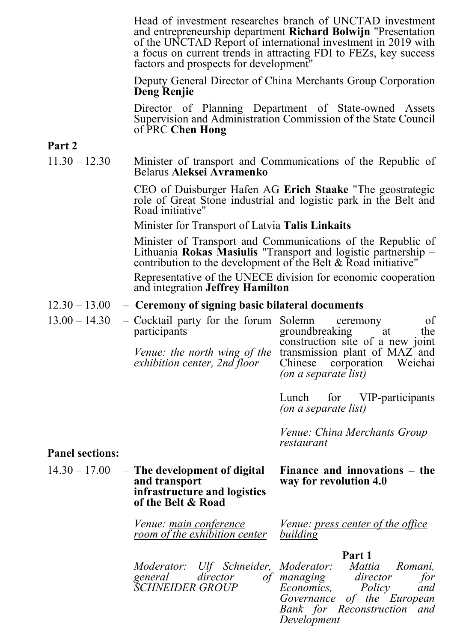Head of investment researches branch of UNCTAD investment and entrepreneurship department Richard Bolwijn "Presentation of the UNCTAD Report of international investment in 2019 with a focus on current trends in attracting FDI to FEZs, key success factors and prospects for development"

Deputy General Director of China Merchants Group Corporation Deng Renjie

Director of Planning Department of State-owned Assets Supervision and Administration Commission of the State Council of PRC Chen Hong

## Part 2

11.30 – 12.30 Minister of transport and Communications of the Republic of Belarus Aleksei Avramenko

> CEO of Duisburger Hafen AG Erich Staake "The geostrategic role of Great Stone industrial and logistic park in the Belt and Road initiative"

Minister for Transport of Latvia Talis Linkaits

Minister of Transport and Communications of the Republic of Lithuania Rokas Masiulis "Transport and logistic partnership – contribution to the development of the Belt & Road initiative"

Representative of the UNECE division for economic cooperation and integration Jeffrey Hamilton

### $12.30 - 13.00 -$  Ceremony of signing basic bilateral documents

| $13.00 - 14.30$        | - Cocktail party for the forum<br>participants<br><i>Venue: the north wing of the</i><br>exhibition center, 2nd floor | Solemn<br>of<br>ceremony<br>groundbreaking at<br>the<br>construction site of a new joint<br>transmission plant of MAZ and<br>Chinese corporation Weichai<br>(on a separate list) |
|------------------------|-----------------------------------------------------------------------------------------------------------------------|----------------------------------------------------------------------------------------------------------------------------------------------------------------------------------|
|                        |                                                                                                                       | Lunch for VIP-participants<br>(on a separate list)                                                                                                                               |
| <b>Panel sections:</b> |                                                                                                                       | <i>Venue: China Merchants Group</i><br>restaurant                                                                                                                                |
| $14.30 - 17.00$        | - The development of digital<br>and transport<br>infrastructure and logistics<br>of the Belt & Road                   | Finance and innovations – the<br>way for revolution 4.0                                                                                                                          |

Venue: main conference room of the exhibition center Venue: press center of the office building

#### Part 1

| Moderator: Ulf Schneider, Moderator: Mattia Romani, |  |                             |              |  |
|-----------------------------------------------------|--|-----------------------------|--------------|--|
| general director of managing                        |  |                             | director for |  |
| <i>SCHNEIDER GROUP</i>                              |  | Economics, Policy and       |              |  |
|                                                     |  | Governance of the European  |              |  |
|                                                     |  | Bank for Reconstruction and |              |  |

Development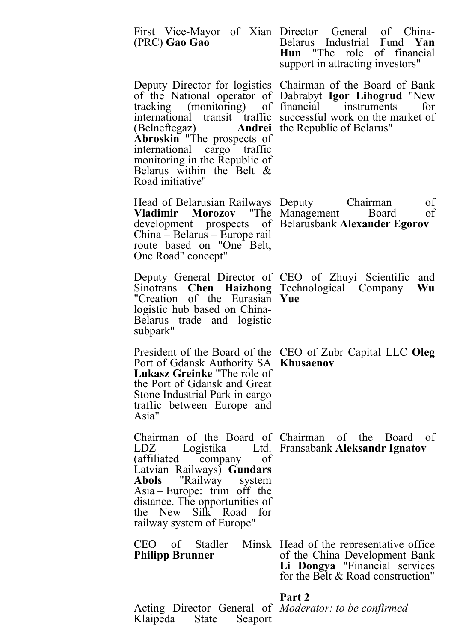| (PRC) Gao Gao                                                                                                                                                                                                  | First Vice-Mayor of Xian Director General of China-<br>Belarus Industrial Fund Yan<br>Hun "The role of financial<br>support in attracting investors"                                                                                              |
|----------------------------------------------------------------------------------------------------------------------------------------------------------------------------------------------------------------|---------------------------------------------------------------------------------------------------------------------------------------------------------------------------------------------------------------------------------------------------|
| (Belneftegaz) <b>Andrei</b> the Republic of Belarus"<br><b>Abroskin</b> "The prospects of<br>international cargo traffic<br>monitoring in the Republic of<br>Belarus within the Belt &<br>Road initiative"     | Deputy Director for logistics Chairman of the Board of Bank<br>of the National operator of Dabrabyt Igor Lihogrud "New<br>tracking (monitoring) of financial instruments<br>for<br>international transit traffic successful work on the market of |
| Head of Belarusian Railways Deputy<br>Vladimir Morozov "The Management Board<br>China – Belarus – Europe rail<br>route based on "One Belt,<br>One Road" concept"                                               | Chairman<br>of<br>of<br>development prospects of Belarusbank Alexander Egorov                                                                                                                                                                     |
| Deputy General Director of CEO of Zhuyi Scientific<br>Sinotrans Chen Haizhong Technological Company<br>"Creation of the Eurasian Yue<br>logistic hub based on China-<br>Belarus trade and logistic<br>subpark" | and<br>Wu                                                                                                                                                                                                                                         |
| Port of Gdansk Authority SA Khusaenov<br><b>Lukasz Greinke</b> "The role of<br>the Port of Gdansk and Great<br>Stone Industrial Park in cargo<br>traffic between Europe and<br>Asia"                           | President of the Board of the CEO of Zubr Capital LLC Oleg                                                                                                                                                                                        |
| LDZ<br>(affiliated company of<br>Latvian Railways) Gundars<br>Abols "Railway system<br>Asia – Europe: trim off the<br>distance. The opportunities of<br>the New Silk Road for<br>railway system of Europe"     | Chairman of the Board of Chairman of the Board of<br>Logistika Ltd. Fransabank Aleksandr Ignatov                                                                                                                                                  |
| <b>Philipp Brunner</b>                                                                                                                                                                                         | CEO of Stadler Minsk Head of the representative office<br>of the China Development Bank<br>Li Dongya "Financial services<br>for the Belt & Road construction"                                                                                     |

#### Part 2

Acting Director General of Klaipeda State Seaport

Moderator: to be confirmed